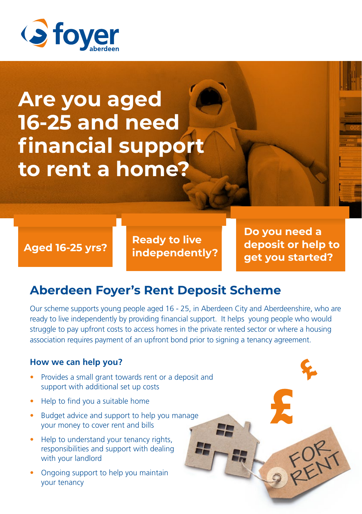

## **Are you aged 16-25 and need financial support to rent a home?**

**Ready to live independently? Aged 16-25 yrs?** **Do you need a deposit or help to get you started?**

FORT

#### **Aberdeen Foyer's Rent Deposit Scheme**

Our scheme supports young people aged 16 - 25, in Aberdeen City and Aberdeenshire, who are ready to live independently by providing financial support. It helps young people who would struggle to pay upfront costs to access homes in the private rented sector or where a housing association requires payment of an upfront bond prior to signing a tenancy agreement.

#### **How we can help you?**

- Provides a small grant towards rent or a deposit and support with additional set up costs
- Help to find you a suitable home
- Budget advice and support to help you manage your money to cover rent and bills
- Help to understand your tenancy rights, responsibilities and support with dealing with your landlord
- Ongoing support to help you maintain your tenancy